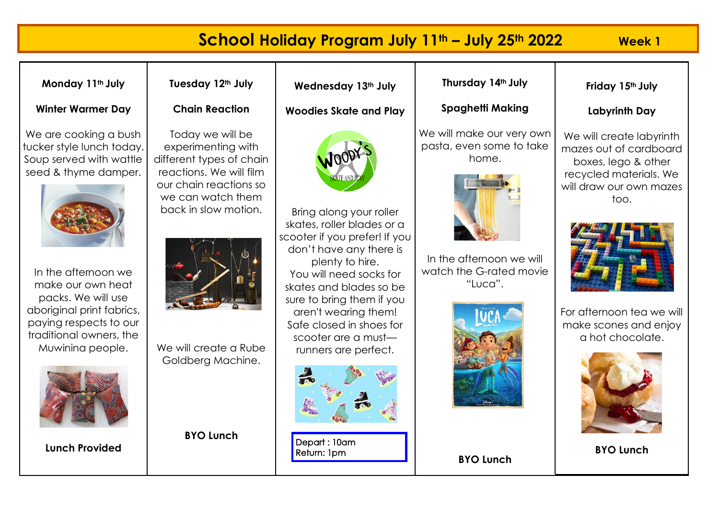## **School Holiday Program July 11th – July 25th 2022 Week 1 Thursday 14th July Monday 11th July Tuesday 12th July Wednesday 13th July Friday 15th July Winter Warmer Day Chain Reaction Spaghetti Making Woodies Skate and Play Labyrinth Day** We will make our very own We are cooking a bush Today we will be We will create labyrinth pasta, even some to take tucker style lunch today. experimenting with mazes out of cardboard home. Soup served with wattle different types of chain boxes, lego & other seed & thyme damper. reactions. We will film recycled materials. We our chain reactions so will draw our own mazes we can watch them too. back in slow motion. Bring along your roller skates, roller blades or a scooter if you prefer! If you don't have any there is In the afternoon we will plenty to hire. watch the G-rated movie In the afternoon we You will need socks for make our own heat "Luca". skates and blades so be packs. We will use sure to bring them if you aboriginal print fabrics, aren't wearing them! For afternoon tea we will paying respects to our Safe closed in shoes for make scones and enjoy traditional owners, the scooter are a must a hot chocolate. We will create a Rube Muwinina people. runners are perfect. Goldberg Machine. **BYO Lunch**  Depart: 10am **Lunch Provided BYO Lunch**Return: 1pm **BYO Lunch**